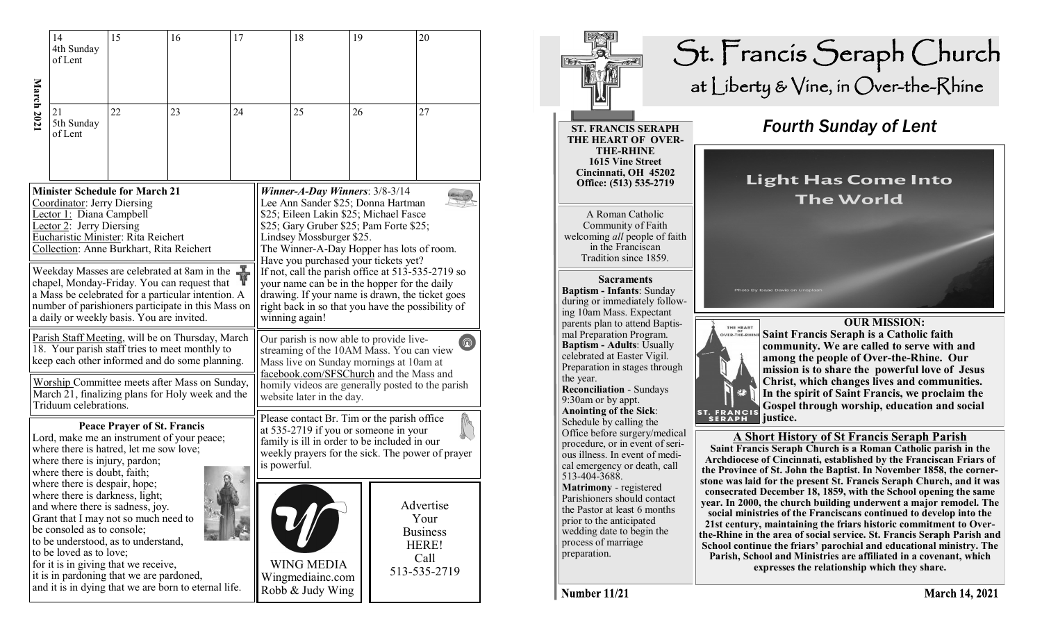|                                                                                                                                                                                                                                                                      | 14<br>4th Sunday<br>of Lent                                                                                               | 15                                                                                                                                                      | 16                                                   | 17                                                                                                                                                                                                                                                                                 |                                                                                                                                                                                                                                                                            | 18                                   | 19 | 20                                                    |
|----------------------------------------------------------------------------------------------------------------------------------------------------------------------------------------------------------------------------------------------------------------------|---------------------------------------------------------------------------------------------------------------------------|---------------------------------------------------------------------------------------------------------------------------------------------------------|------------------------------------------------------|------------------------------------------------------------------------------------------------------------------------------------------------------------------------------------------------------------------------------------------------------------------------------------|----------------------------------------------------------------------------------------------------------------------------------------------------------------------------------------------------------------------------------------------------------------------------|--------------------------------------|----|-------------------------------------------------------|
| March 202                                                                                                                                                                                                                                                            | 21<br>5th Sunday<br>of Lent                                                                                               | 22                                                                                                                                                      | 23                                                   | 24                                                                                                                                                                                                                                                                                 |                                                                                                                                                                                                                                                                            | 25                                   | 26 | 27                                                    |
| <b>Minister Schedule for March 21</b><br>Coordinator: Jerry Diersing<br>Lector 1: Diana Campbell<br>Lector 2: Jerry Diersing<br>Eucharistic Minister: Rita Reichert<br>Collection: Anne Burkhart, Rita Reichert                                                      |                                                                                                                           |                                                                                                                                                         |                                                      |                                                                                                                                                                                                                                                                                    | Winner-A-Day Winners: 3/8-3/14<br>Lee Ann Sander \$25; Donna Hartman<br>\$25; Eileen Lakin \$25; Michael Fasce<br>\$25; Gary Gruber \$25; Pam Forte \$25;<br>Lindsey Mossburger \$25.<br>The Winner-A-Day Hopper has lots of room.<br>Have you purchased your tickets yet? |                                      |    |                                                       |
| $\frac{1}{2}$<br>Weekday Masses are celebrated at 8am in the<br>chapel, Monday-Friday. You can request that<br>a Mass be celebrated for a particular intention. A<br>number of parishioners participate in this Mass on<br>a daily or weekly basis. You are invited. |                                                                                                                           |                                                                                                                                                         |                                                      |                                                                                                                                                                                                                                                                                    | If not, call the parish office at 513-535-2719 so<br>your name can be in the hopper for the daily<br>drawing. If your name is drawn, the ticket goes<br>right back in so that you have the possibility of<br>winning again!                                                |                                      |    |                                                       |
| Parish Staff Meeting, will be on Thursday, March<br>18. Your parish staff tries to meet monthly to<br>keep each other informed and do some planning.                                                                                                                 |                                                                                                                           |                                                                                                                                                         |                                                      | Our parish is now able to provide live-<br>$\boxed{\mathbf{Q}}$<br>streaming of the 10AM Mass. You can view<br>Mass live on Sunday mornings at 10am at<br>facebook.com/SFSChurch and the Mass and<br>homily videos are generally posted to the parish<br>website later in the day. |                                                                                                                                                                                                                                                                            |                                      |    |                                                       |
| Worship Committee meets after Mass on Sunday,<br>March 21, finalizing plans for Holy week and the<br>Triduum celebrations.                                                                                                                                           |                                                                                                                           |                                                                                                                                                         |                                                      |                                                                                                                                                                                                                                                                                    |                                                                                                                                                                                                                                                                            |                                      |    |                                                       |
| <b>Peace Prayer of St. Francis</b><br>Lord, make me an instrument of your peace;<br>where there is hatred, let me sow love;<br>where there is injury, pardon;<br>where there is doubt, faith;                                                                        |                                                                                                                           |                                                                                                                                                         |                                                      | Please contact Br. Tim or the parish office<br>at 535-2719 if you or someone in your<br>family is ill in order to be included in our<br>weekly prayers for the sick. The power of prayer<br>is powerful.                                                                           |                                                                                                                                                                                                                                                                            |                                      |    |                                                       |
|                                                                                                                                                                                                                                                                      | where there is despair, hope;<br>where there is darkness, light;<br>be consoled as to console;<br>to be loved as to love; | and where there is sadness, joy.<br>Grant that I may not so much need to<br>to be understood, as to understand,<br>for it is in giving that we receive, |                                                      |                                                                                                                                                                                                                                                                                    |                                                                                                                                                                                                                                                                            | <b>WING MEDIA</b>                    |    | Advertise<br>Your<br><b>Business</b><br>HERE!<br>Call |
|                                                                                                                                                                                                                                                                      |                                                                                                                           | it is in pardoning that we are pardoned,                                                                                                                | and it is in dying that we are born to eternal life. |                                                                                                                                                                                                                                                                                    |                                                                                                                                                                                                                                                                            | Wingmediainc.com<br>Robb & Judy Wing |    | 513-535-2719                                          |



Number 11/21